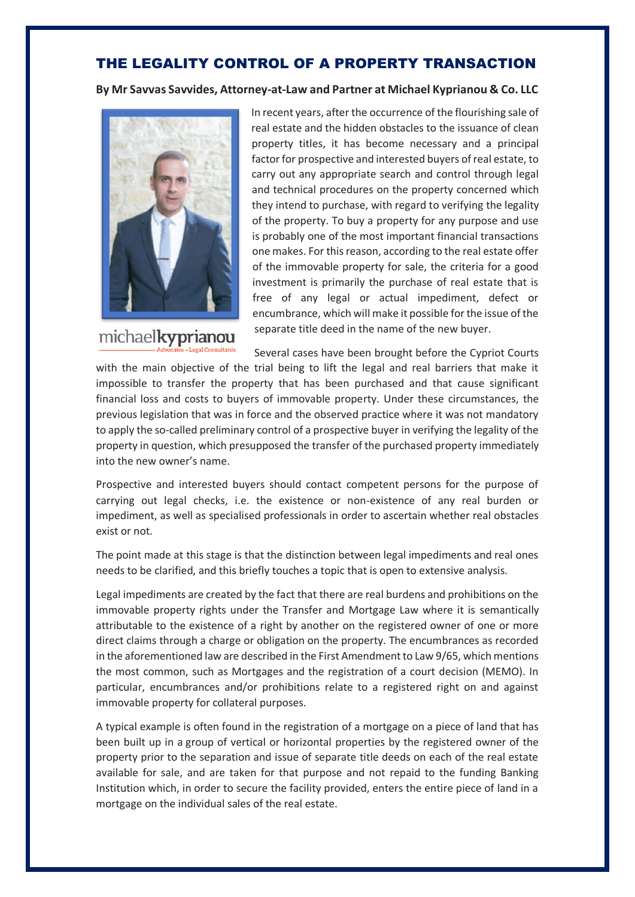## THE LEGALITY CONTROL OF A PROPERTY TRANSACTION

**By Mr Savvas Savvides, Attorney-at-Law and Partner at Michael Kyprianou & Co. LLC**



michaelkyprianou

In recent years, after the occurrence of the flourishing sale of real estate and the hidden obstacles to the issuance of clean property titles, it has become necessary and a principal factor for prospective and interested buyers of real estate, to carry out any appropriate search and control through legal and technical procedures on the property concerned which they intend to purchase, with regard to verifying the legality of the property. To buy a property for any purpose and use is probably one of the most important financial transactions one makes. For this reason, according to the real estate offer of the immovable property for sale, the criteria for a good investment is primarily the purchase of real estate that is free of any legal or actual impediment, defect or encumbrance, which will make it possible for the issue of the separate title deed in the name of the new buyer.

Several cases have been brought before the Cypriot Courts

with the main objective of the trial being to lift the legal and real barriers that make it impossible to transfer the property that has been purchased and that cause significant financial loss and costs to buyers of immovable property. Under these circumstances, the previous legislation that was in force and the observed practice where it was not mandatory to apply the so-called preliminary control of a prospective buyer in verifying the legality of the property in question, which presupposed the transfer of the purchased property immediately into the new owner's name.

Prospective and interested buyers should contact competent persons for the purpose of carrying out legal checks, i.e. the existence or non-existence of any real burden or impediment, as well as specialised professionals in order to ascertain whether real obstacles exist or not.

The point made at this stage is that the distinction between legal impediments and real ones needs to be clarified, and this briefly touches a topic that is open to extensive analysis.

Legal impediments are created by the fact that there are real burdens and prohibitions on the immovable property rights under the Transfer and Mortgage Law where it is semantically attributable to the existence of a right by another on the registered owner of one or more direct claims through a charge or obligation on the property. The encumbrances as recorded in the aforementioned law are described in the First Amendment to Law 9/65, which mentions the most common, such as Mortgages and the registration of a court decision (MEMO). In particular, encumbrances and/or prohibitions relate to a registered right on and against immovable property for collateral purposes.

A typical example is often found in the registration of a mortgage on a piece of land that has been built up in a group of vertical or horizontal properties by the registered owner of the property prior to the separation and issue of separate title deeds on each of the real estate available for sale, and are taken for that purpose and not repaid to the funding Banking Institution which, in order to secure the facility provided, enters the entire piece of land in a mortgage on the individual sales of the real estate.